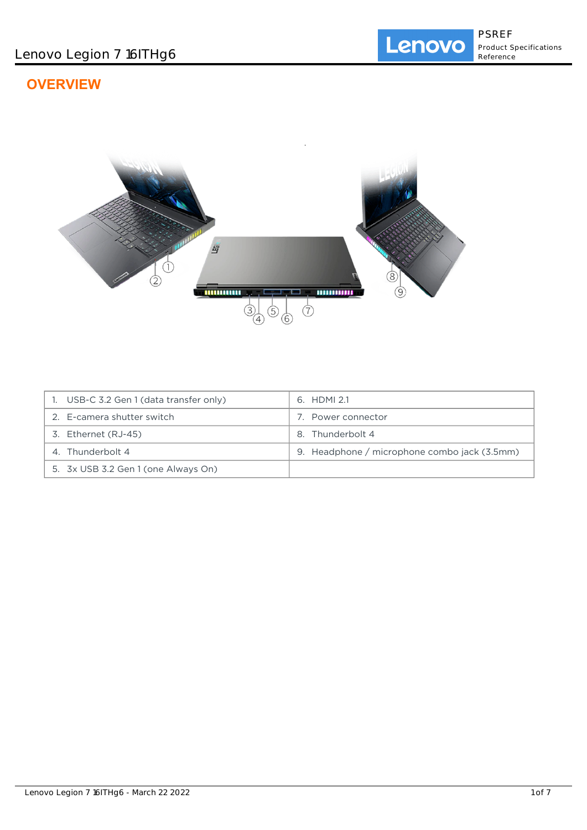# **OVERVIEW**



| USB-C 3.2 Gen 1 (data transfer only) | 6. HDMI 2.1                                  |
|--------------------------------------|----------------------------------------------|
| 2. E-camera shutter switch           | Power connector                              |
| 3. Ethernet (RJ-45)                  | 8. Thunderbolt 4                             |
| 4. Thunderbolt 4                     | 9. Headphone / microphone combo jack (3.5mm) |
| 5. 3x USB 3.2 Gen 1 (one Always On)  |                                              |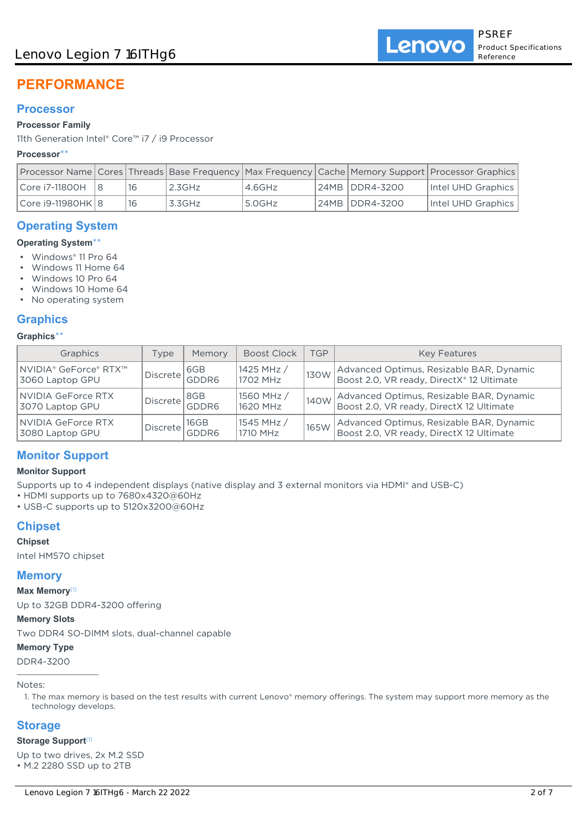# **PERFORMANCE**

## **Processor**

## **Processor Family**

11th Generation Intel® Core™ i7 / i9 Processor

## **Processor**\*\*

|                     |    |            |        |                  | Processor Name   Cores   Threads   Base Frequency   Max Frequency   Cache   Memory Support   Processor Graphics |
|---------------------|----|------------|--------|------------------|-----------------------------------------------------------------------------------------------------------------|
| Core i7-11800H   8  | 16 | $12.3$ GHz | 4.6GHz | 24MB   DDR4-3200 | Intel UHD Graphics                                                                                              |
| Core i9-11980HK   8 | 16 | 3.3GHz     | 5.0GHz | 24MB DDR4-3200   | Intel UHD Graphics                                                                                              |

# **Operating System**

## **Operating System**\*\*

- Windows® 11 Pro 64
- Windows 11 Home 64
- Windows 10 Pro 64
- Windows 10 Home 64
- No operating system

# **Graphics**

## **Graphics**\*\*

| Graphics                                 | Type                  | Memory                                                    | <b>Boost Clock</b>     | <b>TGP</b> | <b>Key Features</b>                                                                   |
|------------------------------------------|-----------------------|-----------------------------------------------------------|------------------------|------------|---------------------------------------------------------------------------------------|
| NVIDIA® GeForce® RTX™<br>3060 Laptop GPU | Discrete 6GB<br>GDDR6 |                                                           | 1425 MHz /<br>1702 MHz | 130W       | Advanced Optimus, Resizable BAR, Dynamic<br>Boost 2.0, VR ready, DirectX® 12 Ultimate |
| NVIDIA GeForce RTX<br>3070 Laptop GPU    |                       | $\bigl \textsc{Discrete}\bigr \textsc{ggB}\textsc{GDDR6}$ | 1560 MHz /<br>1620 MHz | 140W       | Advanced Optimus, Resizable BAR, Dynamic<br>Boost 2.0, VR ready, DirectX 12 Ultimate  |
| NVIDIA GeForce RTX<br>3080 Laptop GPU    | Discrete              | 16GB<br>GDDR6                                             | 1545 MHz /<br>1710 MHz | 165W       | Advanced Optimus, Resizable BAR, Dynamic<br>Boost 2.0, VR ready, DirectX 12 Ultimate  |

# **Monitor Support**

### **Monitor Support**

Supports up to 4 independent displays (native display and 3 external monitors via HDMI® and USB-C)

- HDMI supports up to 7680x4320@60Hz
- USB-C supports up to 5120x3200@60Hz

# **Chipset**

## **Chipset**

Intel HM570 chipset

## **Memory**

#### **Max Memory**[1]

Up to 32GB DDR4-3200 offering

## **Memory Slots**

Two DDR4 SO-DIMM slots, dual-channel capable

#### **Memory Type**

DDR4-3200

Notes:

1. The max memory is based on the test results with current Lenovo® memory offerings. The system may support more memory as the technology develops.

# **Storage**

#### Storage Support<sup>[1]</sup>

Up to two drives, 2x M.2 SSD

• M.2 2280 SSD up to 2TB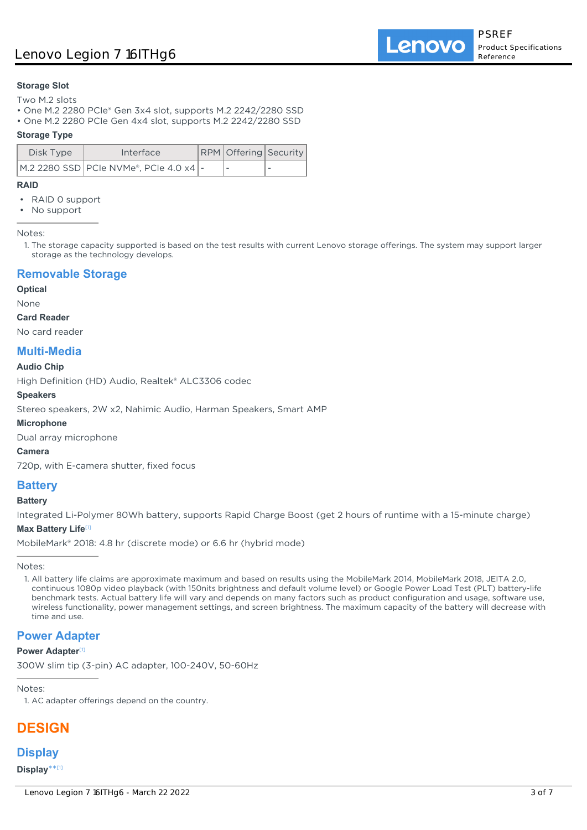# Lenovo Legion 7 16ITHg6

## **Storage Slot**

Two M.2 slots

- One M.2 2280 PCIe® Gen 3x4 slot, supports M.2 2242/2280 SSD
- One M.2 2280 PCIe Gen 4x4 slot, supports M.2 2242/2280 SSD

### **Storage Type**

| Disk Type | Interface                              | RPM Offering Security |  |
|-----------|----------------------------------------|-----------------------|--|
|           | M.2 2280 SSD PCIe NVMe®, PCIe 4.0 x4 - |                       |  |

#### **RAID**

RAID 0 support

No support

Notes:

1. The storage capacity supported is based on the test results with current Lenovo storage offerings. The system may support larger storage as the technology develops.

## **Removable Storage**

**Optical**

None

#### **Card Reader**

No card reader

## **Multi-Media**

### **Audio Chip**

High Definition (HD) Audio, Realtek® ALC3306 codec

#### **Speakers**

Stereo speakers, 2W x2, Nahimic Audio, Harman Speakers, Smart AMP

#### **Microphone**

Dual array microphone

#### **Camera**

720p, with E-camera shutter, fixed focus

## **Battery**

#### **Battery**

Integrated Li-Polymer 80Wh battery, supports Rapid Charge Boost (get 2 hours of runtime with a 15-minute charge)

#### **Max Battery Life**[1]

MobileMark® 2018: 4.8 hr (discrete mode) or 6.6 hr (hybrid mode)

Notes:

1. All battery life claims are approximate maximum and based on results using the MobileMark 2014, MobileMark 2018, JEITA 2.0, continuous 1080p video playback (with 150nits brightness and default volume level) or Google Power Load Test (PLT) battery-life benchmark tests. Actual battery life will vary and depends on many factors such as product configuration and usage, software use, wireless functionality, power management settings, and screen brightness. The maximum capacity of the battery will decrease with time and use.

# **Power Adapter**

## **Power Adapter**[1]

300W slim tip (3-pin) AC adapter, 100-240V, 50-60Hz

Notes:

1. AC adapter offerings depend on the country.

# **DESIGN**

## **Display**

**Display**\*\* [1]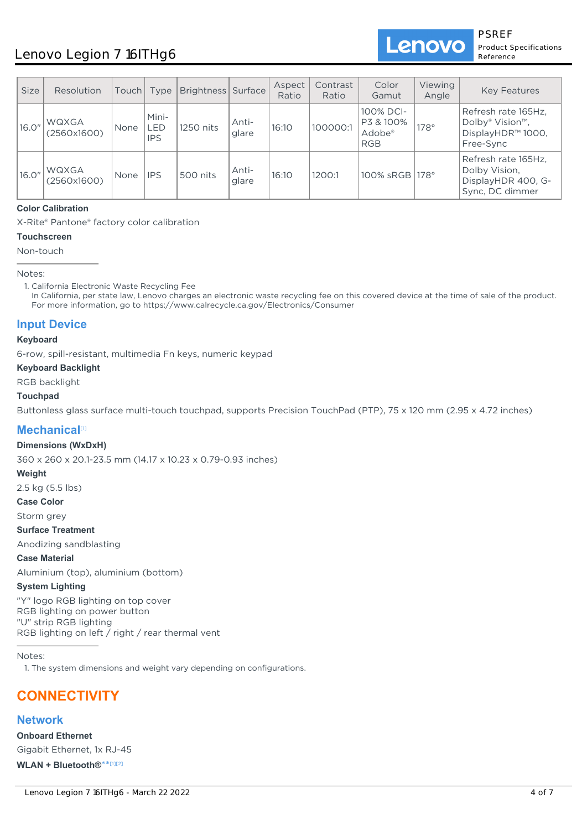# Lenovo Legion 7 16ITHg6



PSREF Product Specifications Reference

| <b>Size</b> | Resolution           | Touch | $Type \vert$                | Brightness   Surface |                | Aspect<br>Ratio | Contrast<br>Ratio | Color<br>Gamut                                             | Viewing<br>Angle | <b>Key Features</b>                                                           |
|-------------|----------------------|-------|-----------------------------|----------------------|----------------|-----------------|-------------------|------------------------------------------------------------|------------------|-------------------------------------------------------------------------------|
| 16.0''      | WQXGA<br>(2560x1600) | None  | Mini-<br>∟ED.<br><b>IPS</b> | 1250 nits            | Anti-<br>glare | 16:10           | 100000:1          | 100% DCI-<br>P3 & 100%<br>Adobe <sup>®</sup><br><b>RGB</b> | $178^\circ$      | Refresh rate 165Hz,<br>Dolby® Vision™,<br>DisplayHDR™ 1000,<br>Free-Sync      |
| 16.0''      | WQXGA<br>(2560x1600) | None  | <b>IPS</b>                  | 500 nits             | Anti-<br>glare | 16:10           | 1200:1            | 100% sRGB                                                  | 178°             | Refresh rate 165Hz,<br>Dolby Vision,<br>DisplayHDR 400, G-<br>Sync, DC dimmer |

# **Color Calibration**

X-Rite® Pantone® factory color calibration

## **Touchscreen**

Non-touch

Notes:

1. California Electronic Waste Recycling Fee

In California, per state law, Lenovo charges an electronic waste recycling fee on this covered device at the time of sale of the product. For more information, go to https://www.calrecycle.ca.gov/Electronics/Consumer

# **Input Device**

### **Keyboard**

6-row, spill-resistant, multimedia Fn keys, numeric keypad

### **Keyboard Backlight**

RGB backlight

## **Touchpad**

Buttonless glass surface multi-touch touchpad, supports Precision TouchPad (PTP), 75 x 120 mm (2.95 x 4.72 inches)

# **Mechanical**[1]

## **Dimensions (WxDxH)**

360 x 260 x 20.1-23.5 mm (14.17 x 10.23 x 0.79-0.93 inches)

#### **Weight**

2.5 kg (5.5 lbs)

**Case Color**

Storm grey

**Surface Treatment**

Anodizing sandblasting

## **Case Material**

Aluminium (top), aluminium (bottom)

## **System Lighting**

"Y" logo RGB lighting on top cover RGB lighting on power button "U" strip RGB lighting RGB lighting on left / right / rear thermal vent

Notes:

1. The system dimensions and weight vary depending on configurations.

# **CONNECTIVITY**

## **Network**

**Onboard Ethernet** Gigabit Ethernet, 1x RJ-45 **WLAN + Bluetooth®**\*\* [1][2]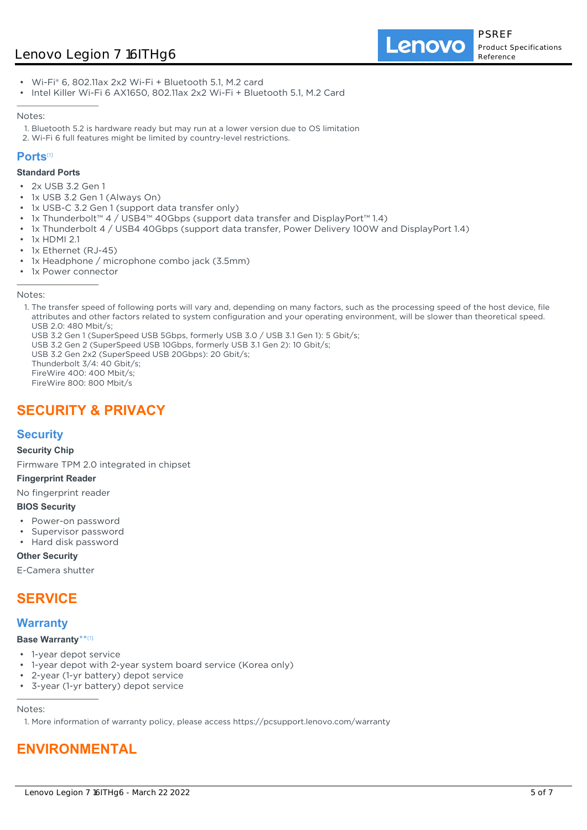Lenovo

- Wi-Fi® 6, 802.11ax 2x2 Wi-Fi + Bluetooth 5.1, M.2 card
- Intel Killer Wi-Fi 6 AX1650, 802.11ax 2x2 Wi-Fi + Bluetooth 5.1, M.2 Card

#### Notes:

- 1. Bluetooth 5.2 is hardware ready but may run at a lower version due to OS limitation
- 2. Wi-Fi 6 full features might be limited by country-level restrictions.

## **Ports**[1]

## **Standard Ports**

- 2x USB 3.2 Gen 1
- 1x USB 3.2 Gen 1 (Always On)
- 1x USB-C 3.2 Gen 1 (support data transfer only)
- 1x Thunderbolt™ 4 / USB4™ 40Gbps (support data transfer and DisplayPort™ 1.4)
- 1x Thunderbolt 4 / USB4 40Gbps (support data transfer, Power Delivery 100W and DisplayPort 1.4)
- 1x HDMI 2.1
- 1x Ethernet (RJ-45)
- 1x Headphone / microphone combo jack (3.5mm)
- 1x Power connector

Notes:

1. The transfer speed of following ports will vary and, depending on many factors, such as the processing speed of the host device, file attributes and other factors related to system configuration and your operating environment, will be slower than theoretical speed. USB 2.0: 480 Mbit/s;

USB 3.2 Gen 1 (SuperSpeed USB 5Gbps, formerly USB 3.0 / USB 3.1 Gen 1): 5 Gbit/s;

USB 3.2 Gen 2 (SuperSpeed USB 10Gbps, formerly USB 3.1 Gen 2): 10 Gbit/s;

USB 3.2 Gen 2x2 (SuperSpeed USB 20Gbps): 20 Gbit/s;

Thunderbolt 3/4: 40 Gbit/s;

FireWire 400: 400 Mbit/s;

FireWire 800: 800 Mbit/s

# **SECURITY & PRIVACY**

# **Security**

**Security Chip**

Firmware TPM 2.0 integrated in chipset

## **Fingerprint Reader**

No fingerprint reader

## **BIOS Security**

- Power-on password
- Supervisor password
- Hard disk password

## **Other Security**

E-Camera shutter

# **SERVICE**

# **Warranty**

## **Base Warranty**\*\* [1]

- 1-year depot service
- 1-year depot with 2-year system board service (Korea only)
- 2-year (1-yr battery) depot service
- 3-year (1-yr battery) depot service

#### Notes:

1. More information of warranty policy, please access https://pcsupport.lenovo.com/warranty

# **ENVIRONMENTAL**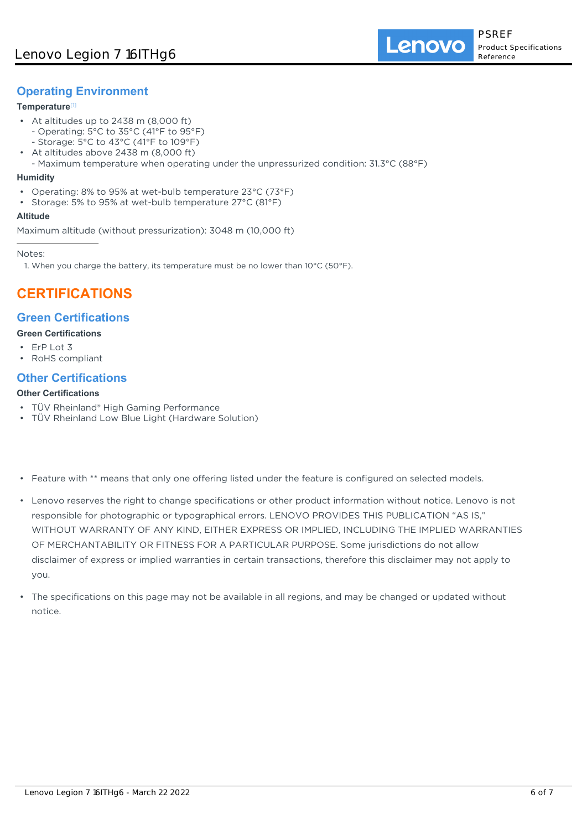# **Operating Environment**

## **Temperature**[1]

- At altitudes up to 2438 m (8,000 ft) - Operating: 5°C to 35°C (41°F to 95°F)
	- Storage: 5°C to 43°C (41°F to 109°F)
- At altitudes above 2438 m (8,000 ft) •
- Maximum temperature when operating under the unpressurized condition: 31.3°C (88°F)

## **Humidity**

- Operating: 8% to 95% at wet-bulb temperature 23°C (73°F)
- Storage: 5% to 95% at wet-bulb temperature 27°C (81°F)

## **Altitude**

Maximum altitude (without pressurization): 3048 m (10,000 ft)

Notes:

1. When you charge the battery, its temperature must be no lower than  $10^{\circ}$ C (50 $^{\circ}$ F).

# **CERTIFICATIONS**

# **Green Certifications**

## **Green Certifications**

- ErP Lot 3
- RoHS compliant

# **Other Certifications**

## **Other Certifications**

- TÜV Rheinland® High Gaming Performance
- TÜV Rheinland Low Blue Light (Hardware Solution)
- Feature with \*\* means that only one offering listed under the feature is configured on selected models.
- Lenovo reserves the right to change specifications or other product information without notice. Lenovo is not responsible for photographic or typographical errors. LENOVO PROVIDES THIS PUBLICATION "AS IS," WITHOUT WARRANTY OF ANY KIND, EITHER EXPRESS OR IMPLIED, INCLUDING THE IMPLIED WARRANTIES OF MERCHANTABILITY OR FITNESS FOR A PARTICULAR PURPOSE. Some jurisdictions do not allow disclaimer of express or implied warranties in certain transactions, therefore this disclaimer may not apply to you.
- The specifications on this page may not be available in all regions, and may be changed or updated without notice.